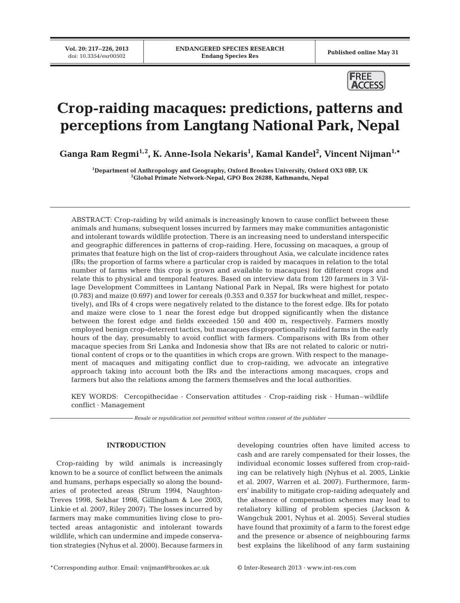Published online May 31



# **Crop-raiding macaques: predictions, patterns and perceptions from Langtang National Park, Nepal**

**Ganga Ram Regmi1,2, K. Anne-Isola Nekaris1 , Kamal Kandel2 , Vincent Nijman1,\***

**1 Department of Anthropology and Geography, Oxford Brookes University, Oxford OX3 0BP, UK 2 Global Primate Network-Nepal, GPO Box 26288, Kathmandu, Nepal**

ABSTRACT: Crop-raiding by wild animals is increasingly known to cause conflict between these animals and humans; subsequent losses incurred by farmers may make communities antagonistic and intolerant towards wildlife protection. There is an increasing need to understand interspecific and geographic differences in patterns of crop-raiding. Here, focussing on macaques, a group of primates that feature high on the list of crop-raiders throughout Asia, we calculate incidence rates (IRs; the proportion of farms where a particular crop is raided by macaques in relation to the total number of farms where this crop is grown and available to macaques) for different crops and relate this to physical and temporal features. Based on interview data from 120 farmers in 3 Village Development Committees in Lantang National Park in Nepal, IRs were highest for potato (0.783) and maize (0.697) and lower for cereals (0.353 and 0.357 for buckwheat and millet, respectively), and IRs of 4 crops were negatively related to the distance to the forest edge. IRs for potato and maize were close to 1 near the forest edge but dropped significantly when the distance between the forest edge and fields exceeded 150 and 400 m, respectively. Farmers mostly employed benign crop-deterrent tactics, but macaques disproportionally raided farms in the early hours of the day, presumably to avoid conflict with farmers. Comparisons with IRs from other macaque species from Sri Lanka and Indonesia show that IRs are not related to caloric or nutritional content of crops or to the quantities in which crops are grown. With respect to the management of macaques and mitigating conflict due to crop-raiding, we advocate an integrative approach taking into account both the IRs and the interactions among macaques, crops and farmers but also the relations among the farmers themselves and the local authorities.

KEY WORDS: Cercopithecidae · Conservation attitudes · Crop-raiding risk · Human–wildlife conflict · Management

*Resale or republication not permitted without written consent of the publisher*

# **INTRODUCTION**

Crop-raiding by wild animals is increasingly known to be a source of conflict between the animals and humans, perhaps especially so along the boundaries of protected areas (Strum 1994, Naughton-Treves 1998, Sekhar 1998, Gillingham & Lee 2003, Linkie et al. 2007, Riley 2007). The losses incurred by farmers may make communities living close to protected areas antagonistic and intolerant towards wildlife, which can undermine and impede conservation strategies (Nyhus et al. 2000). Because farmers in developing countries often have limited access to cash and are rarely compensated for their losses, the individual economic losses suffered from crop-raiding can be relatively high (Nyhus et al. 2005, Linkie et al. 2007, Warren et al. 2007). Furthermore, farmers' inability to mitigate crop-raiding adequately and the absence of compensation schemes may lead to retaliatory killing of problem species (Jackson & Wangchuk 2001, Nyhus et al. 2005). Several studies have found that proximity of a farm to the forest edge and the presence or absence of neighbouring farms best explains the likelihood of any farm sustaining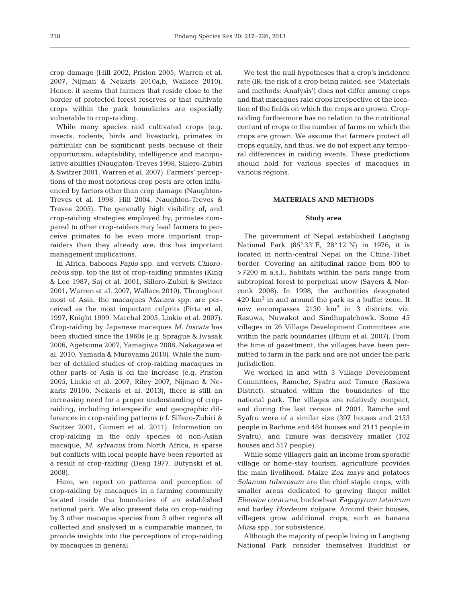crop damage (Hill 2002, Priston 2005, Warren et al. 2007, Nijman & Nekaris 2010a,b, Wallace 2010). Hence, it seems that farmers that reside close to the border of protected forest reserves or that cultivate crops within the park boundaries are especially vulnerable to crop-raiding.

While many species raid cultivated crops (e.g. insects, rodents, birds and livestock), primates in particular can be significant pests because of their opportunism, adaptability, intelligence and manipulative abilities (Naughton-Treves 1998, Sillero-Zubiri & Switzer 2001, Warren et al. 2007). Farmers' perceptions of the most notorious crop pests are often influenced by factors other than crop damage (Naughton-Treves et al. 1998, Hill 2004, Naughton-Treves & Treves 2005). The generally high visibility of, and crop-raiding strategies employed by, primates compared to other crop-raiders may lead farmers to perceive primates to be even more important cropraiders than they already are; this has important management implications.

In Africa, baboons *Papio* spp. and vervets *Chlorocebus* spp. top the list of crop-raiding primates (King & Lee 1987, Saj et al. 2001, Sillero-Zubiri & Switzer 2001, Warren et al. 2007, Wallace 2010). Throughout most of Asia, the macaques *Macaca* spp. are perceived as the most important culprits (Pirta et al. 1997, Knight 1999, Marchal 2005, Linkie et al. 2007). Crop-raiding by Japanese macaques *M. fuscata* has been studied since the 1960s (e.g. Sprague & Iwasak 2006, Agetsuma 2007, Yamagiwa 2008, Nakagawa et al. 2010, Yamada & Muroyama 2010). While the number of detailed studies of crop-raiding macaques in other parts of Asia is on the increase (e.g. Priston 2005, Linkie et al. 2007, Riley 2007, Nijman & Ne karis 2010b, Nekaris et al. 2013), there is still an increasing need for a proper understanding of cropraiding, including interspecific and geographic differences in crop-raiding patterns (cf. Sillero-Zubiri & Switzer 2001, Gumert et al. 2011). Information on crop-raiding in the only species of non-Asian macaque, *M. sylvanus* from North Africa, is sparse but conflicts with local people have been reported as a result of crop-raiding (Deag 1977, Butynski et al. 2008).

Here, we report on patterns and perception of crop-raiding by macaques in a farming community located inside the boundaries of an established national park. We also present data on crop-raiding by 3 other macaque species from 3 other regions all collected and analysed in a comparable manner, to provide insights into the perceptions of crop-raiding by macaques in general.

We test the null hypotheses that a crop's incidence rate (IR, the risk of a crop being raided; see 'Materials and methods: Analysis') does not differ among crops and that macaques raid crops irrespective of the location of the fields on which the crops are grown. Cropraiding furthermore has no relation to the nutritional content of crops or the number of farms on which the crops are grown. We assume that farmers protect all crops equally, and thus, we do not expect any temporal differences in raiding events. These predictions should hold for various species of macaques in various regions.

## **MATERIALS AND METHODS**

### **Study area**

The government of Nepal established Langtang National Park (85° 33' E, 28° 12' N) in 1976; it is located in north-central Nepal on the China-Tibet border. Covering an altitudinal range from 800 to >7200 m a.s.l., habitats within the park range from subtropical forest to perpetual snow (Sayers & Norconk 2008). In 1998, the authorities designated  $420 \text{ km}^2$  in and around the park as a buffer zone. It now encompasses  $2130 \text{ km}^2$  in 3 districts, viz. Rasuwa, Nuwakot and Sindhupalchowk. Some 45 villages in 26 Village Development Committees are within the park boundaries (Bhuju et al. 2007). From the time of gazettment, the villages have been permitted to farm in the park and are not under the park jurisdiction.

We worked in and with 3 Village Development Committees, Ramche, Syafru and Timure (Rasuwa District), situated within the boundaries of the national park. The villages are relatively compact, and during the last census of 2001, Ramche and Syafru were of a similar size (397 houses and 2153 people in Rachme and 484 houses and 2141 people in Syafru), and Timure was decisively smaller (102 houses and 517 people).

While some villagers gain an income from sporadic village or home-stay tourism, agriculture provides the main livelihood. Maize *Zea mays* and potatoes *Solanum tuberosum* are the chief staple crops, with smaller areas dedicated to growing finger millet *Eleusine coracana*, buckwheat *Fagopyrum tataricum* and barley *Hordeum vulgare*. Around their houses, villagers grow additional crops, such as banana *Musa* spp., for subsistence.

Although the majority of people living in Langtang National Park consider themselves Buddhist or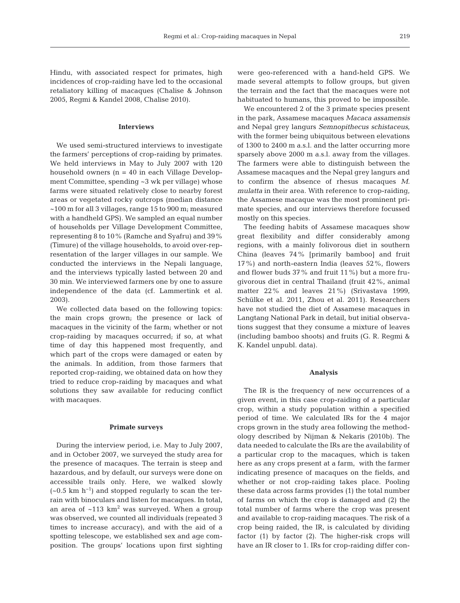Hindu, with associated respect for primates, high incidences of crop-raiding have led to the occasional retaliatory killing of macaques (Chalise & Johnson 2005, Regmi & Kandel 2008, Chalise 2010).

## **Interviews**

We used semi-structured interviews to investigate the farmers' perceptions of crop-raiding by primates. We held interviews in May to July 2007 with 120 household owners (n = 40 in each Village Development Committee, spending ~3 wk per village) whose farms were situated relatively close to nearby forest areas or vegetated rocky outcrops (median distance ~100 m for all 3 villages, range 15 to 900 m; measured with a handheld GPS). We sampled an equal number of households per Village Development Committee, representing 8 to 10% (Ramche and Syafru) and 39% (Timure) of the village households, to avoid over-representation of the larger villages in our sample. We conducted the interviews in the Nepali language, and the interviews typically lasted between 20 and 30 min. We interviewed farmers one by one to assure independence of the data (cf. Lammertink et al. 2003).

We collected data based on the following topics: the main crops grown; the presence or lack of macaques in the vicinity of the farm; whether or not crop-raiding by macaques occurred; if so, at what time of day this happened most frequently, and which part of the crops were damaged or eaten by the animals. In addition, from those farmers that reported crop-raiding, we obtained data on how they tried to reduce crop-raiding by macaques and what solutions they saw available for reducing conflict with macaques.

## **Primate surveys**

During the interview period, i.e. May to July 2007, and in October 2007, we surveyed the study area for the presence of macaques. The terrain is steep and hazardous, and by default, our surveys were done on accessible trails only. Here, we walked slowly  $(-0.5 \text{ km h}^{-1})$  and stopped regularly to scan the terrain with binoculars and listen for macaques. In total, an area of  $~113 \text{ km}^2$  was surveyed. When a group was observed, we counted all individuals (repeated 3 times to increase accuracy), and with the aid of a spotting telescope, we established sex and age composition. The groups' locations upon first sighting were geo-referenced with a hand-held GPS. We made several attempts to follow groups, but given the terrain and the fact that the macaques were not habituated to humans, this proved to be impossible.

We encountered 2 of the 3 primate species present in the park, Assamese macaques *Macaca assamensis* and Nepal grey langurs *Semnopithecus schistaceus*, with the former being ubiquitous between elevations of 1300 to 2400 m a.s.l. and the latter occurring more sparsely above 2000 m a.s.l. away from the villages. The farmers were able to distinguish between the Assamese macaques and the Nepal grey langurs and to confirm the absence of rhesus macaques *M. mulatta* in their area. With reference to crop-raiding, the Assamese macaque was the most prominent primate species, and our interviews therefore focussed mostly on this species.

The feeding habits of Assamese macaques show great flexibility and differ considerably among regions, with a mainly folivorous diet in southern China (leaves 74% [primarily bamboo] and fruit 17%) and north-eastern India (leaves 52%, flowers and flower buds 37% and fruit 11%) but a more frugivorous diet in central Thailand (fruit 42%, animal matter 22% and leaves 21%) (Srivastava 1999, Schülke et al. 2011, Zhou et al. 2011). Researchers have not studied the diet of Assamese macaques in Langtang National Park in detail, but initial observations suggest that they consume a mixture of leaves (including bamboo shoots) and fruits (G. R. Regmi & K. Kandel unpubl. data).

## **Analysis**

The IR is the frequency of new occurrences of a given event, in this case crop-raiding of a particular crop, within a study population within a specified period of time. We calculated IRs for the 4 major crops grown in the study area following the methodology described by Nijman & Nekaris (2010b). The data needed to calculate the IRs are the availability of a particular crop to the macaques, which is taken here as any crops present at a farm, with the farmer indicating presence of macaques on the fields, and whether or not crop-raiding takes place. Pooling these data across farms provides (1) the total number of farms on which the crop is damaged and (2) the total number of farms where the crop was present and available to crop-raiding macaques. The risk of a crop being raided, the IR, is calculated by dividing factor (1) by factor (2). The higher-risk crops will have an IR closer to 1. IRs for crop-raiding differ con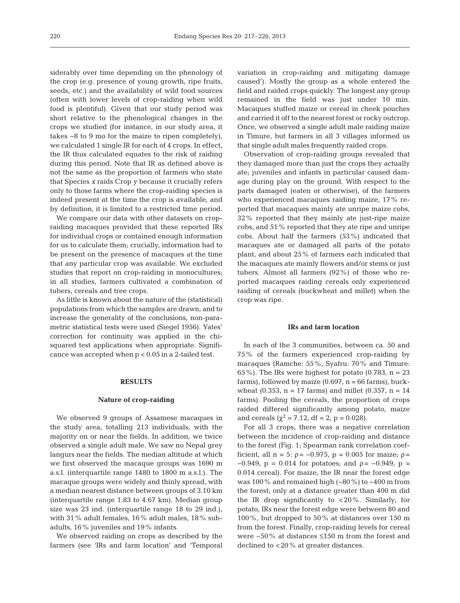siderably over time depending on the phenology of the crop (e.g. presence of young growth, ripe fruits, seeds, etc.) and the availability of wild food sources (often with lower levels of crop-raiding when wild food is plentiful). Given that our study period was short relative to the phenological changes in the crops we studied (for instance, in our study area, it takes ~8 to 9 mo for the maize to ripen completely), we calculated 1 single IR for each of 4 crops. In effect, the IR thus calculated equates to the risk of raiding during this period. Note that IR as defined above is not the same as the proportion of farmers who state that Species *x* raids Crop *y* because it crucially refers only to those farms where the crop-raiding species is indeed present at the time the crop is available, and by definition, it is limited to a restricted time period.

We compare our data with other datasets on cropraiding macaques provided that these reported IRs for individual crops or contained enough information for us to calculate them; crucially, information had to be present on the presence of macaques at the time that any particular crop was available. We excluded studies that report on crop-raiding in monocultures; in all studies, farmers cultivated a combination of tubers, cereals and tree crops.

As little is known about the nature of the (statistical) populations from which the samples are drawn, and to increase the generality of the conclusions, non-parametric statistical tests were used (Siegel 1956). Yates' correction for continuity was applied in the chisquared test applications when appropriate. Significance was accepted when p < 0.05 in a 2-tailed test.

## **RESULTS**

## **Nature of crop-raiding**

We observed 9 groups of Assamese macaques in the study area, totalling 213 individuals, with the majority on or near the fields. In addition, we twice observed a single adult male. We saw no Nepal grey langurs near the fields. The median altitude at which we first observed the macaque groups was 1690 m a.s.l. (interquartile range 1480 to 1800 m a.s.l.). The macaque groups were widely and thinly spread, with a median nearest distance between groups of 3.10 km (interquartile range 1.83 to 4.67 km). Median group size was 23 ind. (interquartile range 18 to 29 ind.), with 31% adult females, 16% adult males, 18% subadults, 16% juveniles and 19% infants.

We observed raiding on crops as described by the farmers (see 'IRs and farm location' and 'Temporal variation in crop-raiding and mitigating damage caused'). Mostly the group as a whole entered the field and raided crops quickly. The longest any group remained in the field was just under 10 min. Macaques stuffed maize or cereal in cheek pouches and carried it off to the nearest forest or rocky outcrop. Once, we observed a single adult male raiding maize in Timure, but farmers in all 3 villages informed us that single adult males frequently raided crops.

Observation of crop-raiding groups revealed that they damaged more than just the crops they actually ate; juveniles and infants in particular caused damage during play on the ground. With respect to the parts damaged (eaten or otherwise), of the farmers who experienced macaques raiding maize, 17% reported that macaques mainly ate unripe maize cobs, 32% reported that they mainly ate just-ripe maize cobs, and 51% reported that they ate ripe and unripe cobs. About half the farmers (53%) indicated that macaques ate or damaged all parts of the potato plant, and about 25% of farmers each indicated that the macaques ate mainly flowers and/or stems or just tubers. Almost all farmers  $(92\%)$  of those who reported macaques raiding cereals only experienced raiding of cereals (buckwheat and millet) when the crop was ripe.

## **IRs and farm location**

In each of the 3 communities, between ca. 50 and 75% of the farmers experienced crop-raiding by macaques (Ramche: 55%, Syafru: 70% and Timure: 65%). The IRs were highest for potato (0.783,  $n = 23$ farms), followed by maize  $(0.697, n = 66$  farms), buckwheat (0.353,  $n = 17$  farms) and millet (0.357,  $n = 14$ farms). Pooling the cereals, the proportion of crops raided differed significantly among potato, maize and cereals ( $\chi^2$  = 7.12, df = 2, p = 0.028).

For all 3 crops, there was a negative correlation between the incidence of crop-raiding and distance to the forest (Fig. 1; Spearman rank correlation coefficient, all n = 5:  $\rho = -0.975$ , p = 0.005 for maize;  $\rho =$  $-0.949$ , p = 0.014 for potatoes; and  $\rho = -0.949$ , p = 0.014 cereal). For maize, the IR near the forest edge was 100% and remained high  $(-80\%)$  to  $-400$  m from the forest; only at a distance greater than 400 m did the IR drop significantly to <20%. Similarly, for potato, IRs near the forest edge were between 80 and 100%, but dropped to 50% at distances over 150 m from the forest. Finally, crop-raiding levels for cereal were ~50% at distances ≤150 m from the forest and declined to <20% at greater distances.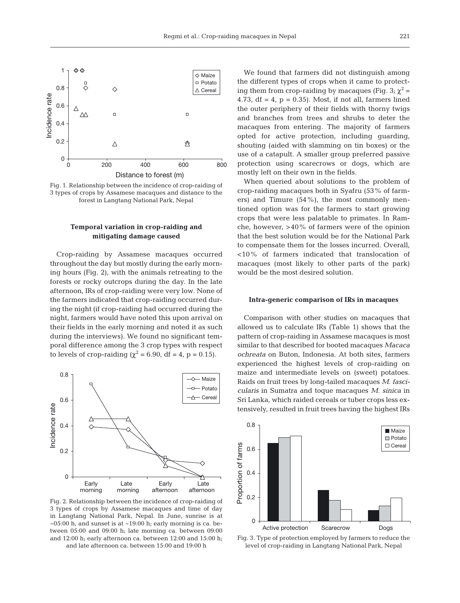

Fig. 1. Relationship between the incidence of crop-raiding of 3 types of crops by Assamese macaques and distance to the forest in Langtang National Park, Nepal

## **Temporal variation in crop-raiding and mitigating damage caused**

Crop-raiding by Assamese macaques occurred throughout the day but mostly during the early morning hours (Fig. 2), with the animals retreating to the forests or rocky outcrops during the day. In the late afternoon, IRs of crop-raiding were very low. None of the farmers indicated that crop-raiding occurred during the night (if crop-raiding had occurred during the night, farmers would have noted this upon arrival on their fields in the early morning and noted it as such during the interviews). We found no significant temporal difference among the 3 crop types with respect to levels of crop-raiding ( $\chi^2$  = 6.90, df = 4, p = 0.15).



Fig. 2. Relationship between the incidence of crop-raiding of 3 types of crops by Assamese macaques and time of day in Langtang National Park, Nepal. In June, sunrise is at  $\sim$ 05:00 h, and sunset is at  $\sim$ 19:00 h; early morning is ca. between 05:00 and 09:00 h; late morning ca. between 09:00 and 12:00 h; early afternoon ca. between 12:00 and 15:00 h; and late afternoon ca. between 15:00 and 19:00 h

We found that farmers did not distinguish among the different types of crops when it came to protecting them from crop-raiding by macaques (Fig. 3;  $\chi^2$  = 4.73, df =  $4$ , p = 0.35). Most, if not all, farmers lined the outer periphery of their fields with thorny twigs and branches from trees and shrubs to deter the macaques from entering. The majority of farmers opted for active protection, including guarding, shouting (aided with slamming on tin boxes) or the use of a catapult. A smaller group preferred passive protection using scarecrows or dogs, which are mostly left on their own in the fields.

When queried about solutions to the problem of crop-raiding macaques both in Syafru (53% of farmers) and Timure (54%), the most commonly mentioned option was for the farmers to start growing crops that were less palatable to primates. In Ramche, however, >40% of farmers were of the opinion that the best solution would be for the National Park to compensate them for the losses incurred. Overall, <10% of farmers indicated that translocation of macaques (most likely to other parts of the park) would be the most desired solution.

#### **Intra-generic comparison of IRs in macaques**

Comparison with other studies on macaques that allowed us to calculate IRs (Table 1) shows that the pattern of crop-raiding in Assamese macaques is most similar to that described for booted macaques *Macaca ochreata* on Buton, Indonesia. At both sites, farmers experienced the highest levels of crop-raiding on maize and intermediate levels on (sweet) potatoes. Raids on fruit trees by long-tailed macaques *M. fascicularis* in Sumatra and toque macaques *M. sinica* in Sri Lanka, which raided cereals or tuber crops less extensively, resulted in fruit trees having the highest IRs



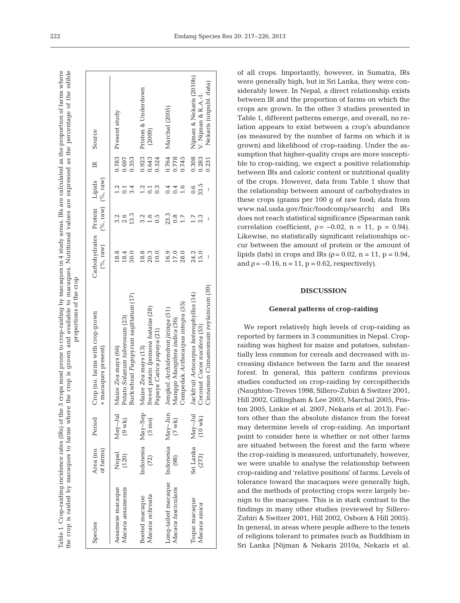the crop is raided by macaques to farms where the crop is grown and available to macaques. Nutritional values are expressed as the percentage of the edible by macaques in 4 study areas. IRs are calculated as the proportion of farms where grown and available to macaques. Nutritional values are expressed as the percentage of the edible Table 1. Crop-raiding incidence rates (IRs) of the 3 crops most prone to crop-raiding by macaques in 4 study areas. IRs are calculated as the proportion of farms where proportions of the crop proportions of the cropprone to crop-raiding Table 1. Crop-raiding incidence rates (IRs) of the 3 crops most he crop is raided by macaques to farms where the crop is

| Species                                     | Area (no.<br>of farms)    | Period                         | Crop (no. farms with crop grown<br>+ macaques present)                                                               | Carbohydrates Protein Lipids<br>$(\%$ , raw) | $(%$ , raw) $(%$ , raw)         |                                         | $\mathbb{R}$            | Source                                                                    |
|---------------------------------------------|---------------------------|--------------------------------|----------------------------------------------------------------------------------------------------------------------|----------------------------------------------|---------------------------------|-----------------------------------------|-------------------------|---------------------------------------------------------------------------|
| ssamese macaque<br>Macaca assamensis        | Nepal<br>(120)            | $May-Jul$<br>$(9 \text{ wk})$  | 3uckwheat Fagopyrum sagittatum (17)<br>Potato Solanum tuberosum (23)<br>Maize Zea mays (66)                          | 18.8<br>18.4<br>50.0                         | 13.3<br>3.2<br>2.6              | 1.2                                     | 0.697<br>0.353          | 0.783 Present study                                                       |
| Macaca ochreata<br>Booted macaque           | Indonesia May-Sep<br>(72) | $(5 \text{ mo})$               | Sweet potato Ipomoea batatas (28)<br>Papaya Carica papaya (21)<br>Maize Zea mays (13)                                | 18.8<br>20.3<br>10.0                         | 3.2<br>1.6<br>0.5               | $0.\overline{3}$                        | 0.923<br>0.643<br>0.524 | Priston & Underdown<br>(2009)                                             |
| -ong-tailed macaque<br>Vlacaca fascicularis | Indonesia May-Jun<br>(98) | $(7 \text{ wk})$               | Cempedak Arthocarpus integra (55)<br>Jengkol Archidendron jiringa (51)<br>Manggo Mangifera indica (36)               | 16.9<br>17.0<br>28.0                         | 23.3<br>$0.\overline{8}$<br>1.7 | 0.4<br>1.6<br>0.4                       | 0.764<br>0.745<br>0.778 | Marchal (2005)                                                            |
| Toque macaque<br>Vlacaca sinica             | Sri Lanka<br>(273)        | $May-Jul$<br>$(10 \text{ wk})$ | Cinnamon <i>Cinnamomum zeylanicum</i> (39)<br>Jackfruit Artocarpus heterophyllus (14)<br>Coconut Cocos nucifera (53) | 24.2<br>15.0                                 | 1.7<br>3.3                      | 33.5<br>0.6<br>$\overline{\phantom{a}}$ | 0.308<br>0.283<br>0.231 | Nijman & Nekaris (2010b)<br>Nekaris (unpubl. data)<br>V. Nijman & K.A.-I. |

of all crops. Importantly, however, in Sumatra, IRs were generally high, but in Sri Lanka, they were considerably lower. In Nepal, a direct relationship exists between IR and the proportion of farms on which the crops are grown. In the other 3 studies presented in Table 1, different patterns emerge, and overall, no relation appears to exist between a crop's abundance (as measured by the number of farms on which it is grown) and likelihood of crop-raiding. Under the assumption that higher-quality crops are more susceptible to crop-raiding, we expect a positive relationship between IRs and caloric content or nutritional quality of the crops. However, data from Table 1 show that the relationship between amount of carbohydrates in these crops (grams per 100 g of raw food; data from www.nal.usda.gov/fnic/foodcomp/search) and IRs does not reach statistical significance (Spearman rank correlation coefficient,  $\rho = -0.02$ ,  $n = 11$ ,  $p = 0.94$ ). Likewise, no statistically significant relationships occur between the amount of protein or the amount of lipids (fats) in crops and IRs ( $\rho = 0.02$ ,  $n = 11$ ,  $p = 0.94$ , and  $p = -0.16$ ,  $n = 11$ ,  $p = 0.62$ , respectively).

# **DISCUSSION**

## **General patterns of crop-raiding**

We report relatively high levels of crop-raiding as reported by farmers in 3 communities in Nepal. Cropraiding was highest for maize and potatoes, substantially less common for cereals and decreased with increasing distance between the farm and the nearest forest. In general, this pattern confirms previous studies conducted on crop-raiding by cercopithecids (Naughton-Treves 1998, Sillero-Zubiri & Switzer 2001, Hill 2002, Gillingham & Lee 2003, Marchal 2005, Priston 2005, Linkie et al. 2007, Nekaris et al. 2013). Factors other than the absolute distance from the forest may determine levels of crop-raiding. An important point to consider here is whether or not other farms are situated between the forest and the farm where the crop-raiding is measured; unfortunately, however, we were unable to analyse the relationship between crop-raiding and 'relative positions' of farms. Levels of tolerance toward the macaques were generally high, and the methods of protecting crops were largely benign to the macaques. This is in stark contrast to the findings in many other studies (reviewed by Sillero-Zubiri & Switzer 2001, Hill 2002, Osborn & Hill 2005). In general, in areas where people adhere to the tenets of religions tolerant to primates (such as Buddhism in Sri Lanka [Nijman & Nekaris 2010a, Nekaris et al.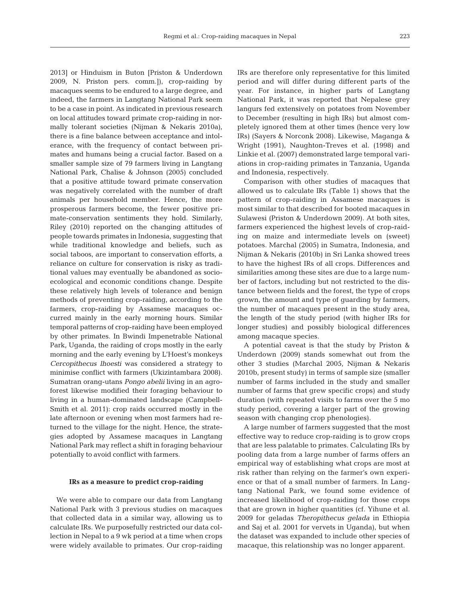2013] or Hinduism in Buton [Priston & Underdown 2009, N. Priston pers. comm.]), crop-raiding by macaques seems to be endured to a large degree, and indeed, the farmers in Langtang National Park seem to be a case in point. As indicated in previous research on local attitudes toward primate crop-raiding in normally tolerant societies (Nijman & Nekaris 2010a), there is a fine balance between acceptance and intolerance, with the frequency of contact between primates and humans being a crucial factor. Based on a smaller sample size of 79 farmers living in Langtang National Park, Chalise & Johnson (2005) concluded that a positive attitude toward primate conservation was negatively correlated with the number of draft animals per household member. Hence, the more prosperous farmers become, the fewer positive primate-conservation sentiments they hold. Similarly, Riley (2010) reported on the changing attitudes of people towards primates in Indonesia, suggesting that while traditional knowledge and beliefs, such as social taboos, are important to conservation efforts, a reliance on culture for conservation is risky as traditional values may eventually be abandoned as socioecological and economic conditions change. Despite these relatively high levels of tolerance and benign methods of preventing crop-raiding, according to the farmers, crop-raiding by Assamese macaques occurred mainly in the early morning hours. Similar temporal patterns of crop-raiding have been employed by other primates. In Bwindi Impenetrable National Park, Uganda, the raiding of crops mostly in the early morning and the early evening by L'Hoest's monkeys *Cercopithecus lhoesti* was considered a strategy to minimise conflict with farmers (Ukizintambara 2008). Sumatran orang-utans *Pongo abelii* living in an agroforest likewise modified their foraging behaviour to living in a human-dominated landscape (Campbell-Smith et al. 2011): crop raids occurred mostly in the late afternoon or evening when most farmers had returned to the village for the night. Hence, the strategies adopted by Assamese macaques in Langtang National Park may reflect a shift in foraging behaviour potentially to avoid conflict with farmers.

## **IRs as a measure to predict crop-raiding**

We were able to compare our data from Langtang National Park with 3 previous studies on macaques that collected data in a similar way, allowing us to calculate IRs. We purposefully restricted our data collection in Nepal to a 9 wk period at a time when crops were widely available to primates. Our crop-raiding IRs are therefore only representative for this limited period and will differ during different parts of the year. For instance, in higher parts of Langtang National Park, it was reported that Nepalese grey langurs fed extensively on potatoes from November to December (resulting in high IRs) but almost completely ignored them at other times (hence very low IRs) (Sayers & Norconk 2008). Likewise, Maganga & Wright (1991), Naughton-Treves et al. (1998) and Linkie et al. (2007) demonstrated large temporal variations in crop-raiding primates in Tanzania, Uganda and Indonesia, respectively.

Comparison with other studies of macaques that allowed us to calculate IRs (Table 1) shows that the pattern of crop-raiding in Assamese macaques is most similar to that described for booted macaques in Sulawesi (Priston & Underdown 2009). At both sites, farmers experienced the highest levels of crop-raiding on maize and intermediate levels on (sweet) potatoes. Marchal (2005) in Sumatra, Indonesia, and Nijman & Nekaris (2010b) in Sri Lanka showed trees to have the highest IRs of all crops. Differences and similarities among these sites are due to a large number of factors, including but not restricted to the distance between fields and the forest, the type of crops grown, the amount and type of guarding by farmers, the number of macaques present in the study area, the length of the study period (with higher IRs for longer studies) and possibly biological differences among macaque species.

A potential caveat is that the study by Priston & Underdown (2009) stands somewhat out from the other 3 studies (Marchal 2005, Nijman & Nekaris 2010b, present study) in terms of sample size (smaller number of farms included in the study and smaller number of farms that grew specific crops) and study duration (with repeated visits to farms over the 5 mo study period, covering a larger part of the growing season with changing crop phenologies).

A large number of farmers suggested that the most effective way to reduce crop-raiding is to grow crops that are less palatable to primates. Calculating IRs by pooling data from a large number of farms offers an empirical way of establishing what crops are most at risk rather than relying on the farmer's own experience or that of a small number of farmers. In Langtang National Park, we found some evidence of increased likelihood of crop-raiding for those crops that are grown in higher quantities (cf. Yihune et al. 2009 for geladas *Theropithecus gelada* in Ethiopia and Saj et al. 2001 for vervets in Uganda), but when the dataset was expanded to include other species of macaque, this relationship was no longer apparent.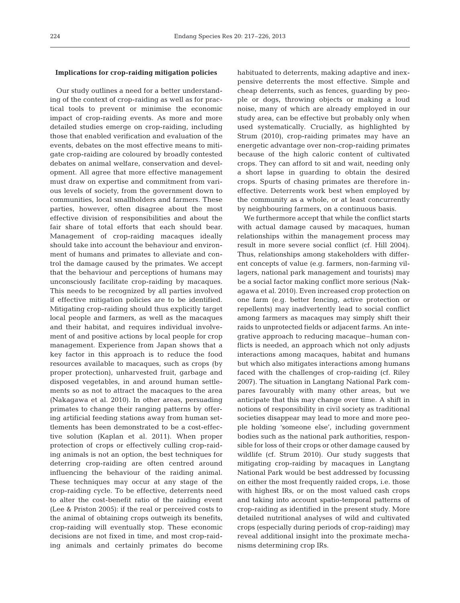## **Implications for crop-raiding mitigation policies**

Our study outlines a need for a better understanding of the context of crop-raiding as well as for practical tools to prevent or minimise the economic impact of crop-raiding events. As more and more detailed studies emerge on crop-raiding, including those that enabled verification and evaluation of the events, debates on the most effective means to mitigate crop-raiding are coloured by broadly contested debates on animal welfare, conservation and development. All agree that more effective management must draw on expertise and commitment from various levels of society, from the government down to communities, local smallholders and farmers. These parties, however, often disagree about the most effective division of responsibilities and about the fair share of total efforts that each should bear. Management of crop-raiding macaques ideally should take into account the behaviour and environment of humans and primates to alleviate and control the damage caused by the primates. We accept that the behaviour and perceptions of humans may unconsciously facilitate crop-raiding by macaques. This needs to be recognized by all parties involved if effective mitigation policies are to be identified. Mitigating crop-raiding should thus explicitly target local people and farmers, as well as the macaques and their habitat, and requires individual involvement of and positive actions by local people for crop management. Experience from Japan shows that a key factor in this approach is to reduce the food resources available to macaques, such as crops (by proper protection), unharvested fruit, garbage and disposed vegetables, in and around human settlements so as not to attract the macaques to the area (Nakagawa et al. 2010). In other areas, persuading primates to change their ranging patterns by offering artificial feeding stations away from human settlements has been demonstrated to be a cost-effective solution (Kaplan et al. 2011). When proper protection of crops or effectively culling crop-raiding animals is not an option, the best techniques for deterring crop-raiding are often centred around influencing the behaviour of the raiding animal. These techniques may occur at any stage of the crop-raiding cycle. To be effective, deterrents need to alter the cost-benefit ratio of the raiding event (Lee & Priston 2005): if the real or perceived costs to the animal of obtaining crops outweigh its benefits, crop-raiding will eventually stop. These economic decisions are not fixed in time, and most crop-raiding animals and certainly primates do become

habituated to deterrents, making adaptive and inexpensive deterrents the most effective. Simple and cheap deterrents, such as fences, guarding by people or dogs, throwing objects or making a loud noise, many of which are already employed in our study area, can be effective but probably only when used systematically. Crucially, as highlighted by Strum (2010), crop-raiding primates may have an energetic advantage over non-crop-raiding primates because of the high caloric content of cultivated crops. They can afford to sit and wait, needing only a short lapse in guarding to obtain the desired crops. Spurts of chasing primates are therefore in effective. Deterrents work best when employed by the community as a whole, or at least concurrently by neighbouring farmers, on a continuous basis.

We furthermore accept that while the conflict starts with actual damage caused by macaques, human relationships within the management process may result in more severe social conflict (cf. Hill 2004). Thus, relationships among stakeholders with different concepts of value (e.g. farmers, non-farming villagers, national park management and tourists) may be a social factor making conflict more serious (Nakagawa et al. 2010). Even increased crop protection on one farm (e.g. better fencing, active protection or repellents) may inadvertently lead to social conflict among farmers as macaques may simply shift their raids to unprotected fields or adjacent farms. An integrative approach to reducing macaque–human conflicts is needed, an approach which not only adjusts interactions among macaques, habitat and humans but which also mitigates interactions among humans faced with the challenges of crop-raiding (cf. Riley 2007). The situation in Langtang National Park compares favourably with many other areas, but we anticipate that this may change over time. A shift in notions of responsibility in civil society as traditional societies disappear may lead to more and more people holding 'someone else', including government bodies such as the national park authorities, responsible for loss of their crops or other damage caused by wildlife (cf. Strum 2010). Our study suggests that mitigating crop-raiding by macaques in Langtang National Park would be best addressed by focussing on either the most frequently raided crops, i.e. those with highest IRs, or on the most valued cash crops and taking into account spatio-temporal patterns of crop-raiding as identified in the present study. More detailed nutritional analyses of wild and cultivated crops (especially during periods of crop-raiding) may reveal additional insight into the proximate mechanisms determining crop IRs.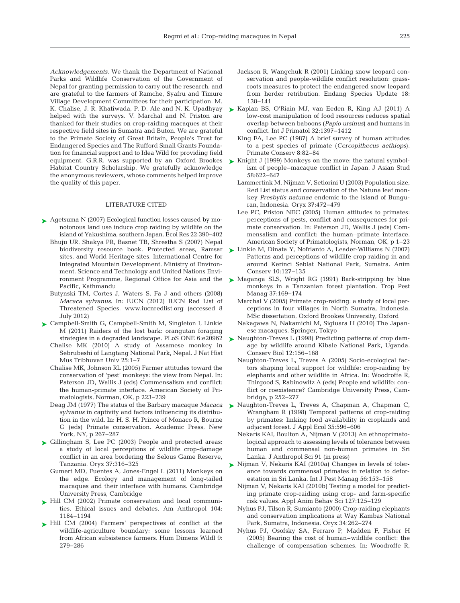*Acknowledgements*. We thank the Department of National Parks and Wildlife Conservation of the Government of Nepal for granting permission to carry out the research, and are grateful to the farmers of Ramche, Syafru and Timure Village Development Committees for their participation. M. K. Chalise, J. R. Khatiwada, P. D. Ale and N. K. Upadhyay helped with the surveys. V. Marchal and N. Priston are thanked for their studies on crop-raiding macaques at their respective field sites in Sumatra and Buton. We are grateful to the Primate Society of Great Britain, People's Trust for Endangered Species and The Rufford Small Grants Foundation for financial support and to Idea Wild for providing field equipment. G.R.R. was supported by an Oxford Brookes Habitat Country Scholarship. We gratefully acknowledge the anonymous reviewers, whose comments helped improve the quality of this paper.

## LITERATURE CITED

- ► [Agetsuma N \(2007\) Ecological function losses caused by mo](http://dx.doi.org/10.1007/s11284-007-0358-z)notonous land use induce crop raiding by wildlife on the island of Yakushima, southern Japan. Ecol Res 22: 390−402
	- Bhuju UR, Shakya PR, Basnet TB, Shrestha S (2007) Nepal biodiversity resource book. Protected areas, Ramsar sites, and World Heritage sites. International Centre for Integrated Mountain Development, Ministry of Environment, Science and Technology and United Nations Environment Programme, Regional Office for Asia and the Pacific, Kathmandu
	- Butynski TM, Cortes J, Waters S, Fa J and others (2008) *Macaca sylvanus*. In: IUCN (2012) IUCN Red List of Threatened Species. www.iucnredlist.org (accessed 8 July 2012)
- ▶ [Campbell-Smith G, Campbell-Smith M, Singleton I, Linkie](http://dx.doi.org/10.1371/journal.pone.0020962) M (2011) Raiders of the lost bark: orangutan foraging strategies in a degraded landscape. PLoS ONE 6:e20962
	- Chalise MK (2010) A study of Assamese monkey in Sebrubeshi of Langtang National Park, Nepal. J Nat Hist Mus Tribhuvan Univ 25: 1−7
	- Chalise MK, Johnson RL (2005) Farmer attitudes toward the conservation of 'pest' monkeys: the view from Nepal. In: Paterson JD, Wallis J (eds) Commensalism and conflict: the human-primate interface. American Society of Primatologists, Norman, OK, p 223−239
	- Deag JM (1977) The status of the Barbary macaque *Macaca sylvanus* in captivity and factors influencing its distribution in the wild. In: H. S. H. Prince of Monaco R, Bourne G (eds) Primate conservation. Academic Press, New York, NY, p 267−287
- ► Gillingham S, Lee PC (2003) People and protected areas: a study of local perceptions of wildlife crop-damage conflict in an area bordering the Selous Game Reserve, Tanzania. Oryx 37:316-325
	- Gumert MD, Fuentes A, Jones-Engel L (2011) Monkeys on the edge. Ecology and management of long-tailed macaques and their interface with humans. Cambridge University Press, Cambridge
- ► [Hill CM \(2002\) Primate conservation and local communi](http://dx.doi.org/10.1525/aa.2002.104.4.1184)ties. Ethical issues and debates. Am Anthropol 104: 1184−1194
- ▶ [Hill CM \(2004\) Farmers' perspectives of conflict at the](http://dx.doi.org/10.1080/10871200490505710) wildlife-agriculture boundary: some lessons learned from African subsistence farmers. Hum Dimens Wildl 9: 279−286
- Jackson R, Wangchuk R (2001) Linking snow leopard conservation and people-wildlife conflict resolution: grassroots measures to protect the endangered snow leopard from herder retribution. Endang Species Update 18: 138−141
- ► [Kaplan BS, O'Riain MJ, van Eeden R, King AJ \(2011\) A](http://dx.doi.org/10.1007/s10764-011-9541-8) low-cost manipulation of food resources reduces spatial overlap between baboons (*Papio ursinus*) and humans in conflict. Int J Primatol 32: 1397−1412
	- King FA, Lee PC (1987) A brief survey of human attitudes to a pest species of primate (*Cercopithecus aethiops*). Primate Conserv 8: 82−84
- $\blacktriangleright$  Knight J (1999) Monkeys on the move: the natural symbolism of people–macaque conflict in Japan. J Asian Stud 58: 622−647
	- Lammertink M, Nijman V, Setiorini U (2003) Population size, Red List status and conservation of the Natuna leaf monkey *Presbytis natunae* endemic to the island of Bunguran, Indonesia. Oryx 37: 472−479
	- Lee PC, Priston NEC (2005) Human attitudes to primates: perceptions of pests, conflict and consequences for primate conservation. In: Paterson JD, Wallis J (eds) Commensalism and conflict: the human–primate interface. American Society of Primatologists, Norman, OK, p 1–23
- [Linkie M, Dinata Y, Nofrianto A, Leader-Williams N \(2007\)](http://dx.doi.org/10.1111/j.1469-1795.2006.00083.x) ➤ Patterns and perceptions of wildlife crop raiding in and around Kerinci Seblat National Park, Sumatra. Anim Conserv 10: 127−135
- ▶ [Maganga SLS, Wright RG \(1991\) Bark-stripping by blue](http://dx.doi.org/10.1080/09670879109371569) monkeys in a Tanzanian forest plantation. Trop Pest Manag 37: 169−174
	- Marchal V (2005) Primate crop-raiding: a study of local perceptions in four villages in North Sumatra, Indonesia. MSc dissertation, Oxford Brookes University, Oxford
	- Nakagawa N, Nakamichi M, Sigiuara H (2010) The Japanese macaques. Springer, Tokyo
- ▶ [Naughton-Treves L \(1998\) Predicting patterns of crop dam](http://dx.doi.org/10.1046/j.1523-1739.1998.96346.x)age by wildlife around Kibale National Park, Uganda. Conserv Biol 12: 156−168
	- Naughton-Treves L, Treves A (2005) Socio-ecological factors shaping local support for wildlife: crop-raiding by elephants and other wildlife in Africa. In: Woodroffe R, Thirgood S, Rabinowitz A (eds) People and wildlife: conflict or coexistence? Cambridge University Press, Cambridge, p 252−277
- ▶ [Naughton-Treves L, Treves A, Chapman A, Chapman C,](http://dx.doi.org/10.1046/j.1365-2664.1998.3540596.x) Wrangham R (1998) Temporal patterns of crop-raiding by primates: linking food availability in croplands and adjacent forest. J Appl Ecol 35: 596−606
	- Nekaris KAI, Boulton A, Nijman V (2013) An ethnoprimatological approach to assessing levels of tolerance between human and commensal non-human primates in Sri Lanka. J Anthropol Sci 91 (in press)
- ► [Nijman V, Nekaris KAI \(2010a\) Changes in levels of toler](http://dx.doi.org/10.1080/09670870903248850)ance towards commensal primates in relation to deforestation in Sri Lanka. Int J Pest Manag 56: 153−158
	- Nijman V, Nekaris KAI (2010b) Testing a model for predicting primate crop-raiding using crop- and farm-specific risk values. Appl Anim Behav Sci 127: 125−129
	- Nyhus PJ, Tilson R, Sumianto (2000) Crop-raiding elephants and conservation implications at Way Kambas National Park, Sumatra, Indonesia. Oryx 34:262-274
	- Nyhus PJ, Osofsky SA, Ferraro P, Madden F, Fisher H  $(2005)$  Bearing the cost of human–wildlife conflict: the challenge of compensation schemes. In: Woodroffe R,